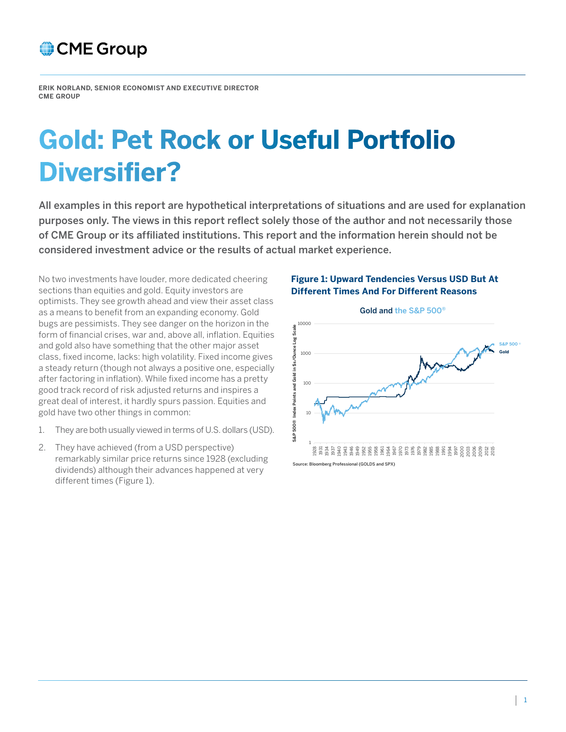

**ERIK NORLAND, SENIOR ECONOMIST AND EXECUTIVE DIRECTOR CME GROUP**

# **Gold: Pet Rock or Useful Portfolio Diversifier?**

All examples in this report are hypothetical interpretations of situations and are used for explanation purposes only. The views in this report reflect solely those of the author and not necessarily those of CME Group or its affiliated institutions. This report and the information herein should not be considered investment advice or the results of actual market experience.

No two investments have louder, more dedicated cheering sections than equities and gold. Equity investors are optimists. They see growth ahead and view their asset class as a means to benefit from an expanding economy. Gold bugs are pessimists. They see danger on the horizon in the form of financial crises, war and, above all, inflation. Equities and gold also have something that the other major asset class, fixed income, lacks: high volatility. Fixed income gives a steady return (though not always a positive one, especially after factoring in inflation). While fixed income has a pretty good track record of risk adjusted returns and inspires a great deal of interest, it hardly spurs passion. Equities and gold have two other things in common:

- 1. They are both usually viewed in terms of U.S. dollars (USD).
- 2. They have achieved (from a USD perspective) remarkably similar price returns since 1928 (excluding dividends) although their advances happened at very different times (Figure 1).

#### **Figure 1: Upward Tendencies Versus USD But At Different Times And For Different Reasons**

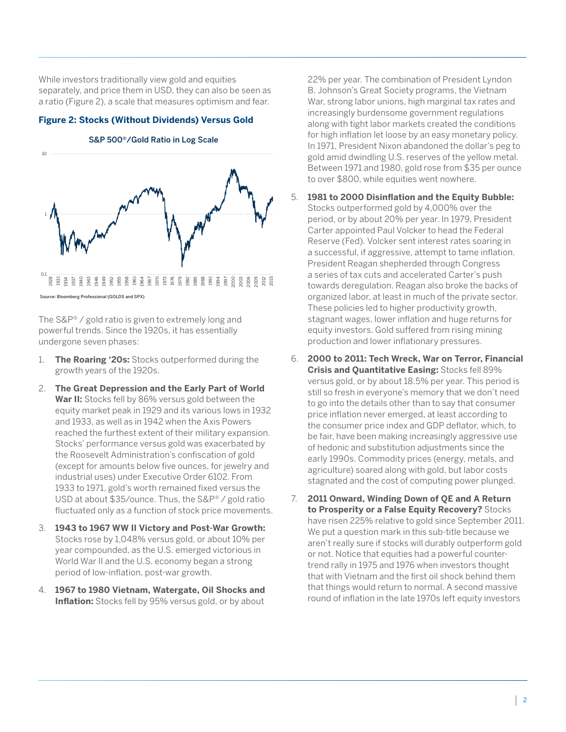While investors traditionally view gold and equities separately, and price them in USD, they can also be seen as a ratio (Figure 2), a scale that measures optimism and fear.

### **Figure 2: Stocks (Without Dividends) Versus Gold**



S&P 500®/Gold Ratio in Log Scale

#### e: Bloomberg Professional (GOLDS and SPX)

The S&P® / gold ratio is given to extremely long and powerful trends. Since the 1920s, it has essentially undergone seven phases:

- 1. **The Roaring '20s:** Stocks outperformed during the growth years of the 1920s.
- 2. **The Great Depression and the Early Part of World War II:** Stocks fell by 86% versus gold between the equity market peak in 1929 and its various lows in 1932 and 1933, as well as in 1942 when the Axis Powers reached the furthest extent of their military expansion. Stocks' performance versus gold was exacerbated by the Roosevelt Administration's confiscation of gold (except for amounts below five ounces, for jewelry and industrial uses) under Executive Order 6102. From 1933 to 1971, gold's worth remained fixed versus the USD at about \$35/ounce. Thus, the S&P® / gold ratio fluctuated only as a function of stock price movements.
- 3. **1943 to 1967 WW II Victory and Post-War Growth:** Stocks rose by 1,048% versus gold, or about 10% per year compounded, as the U.S. emerged victorious in World War II and the U.S. economy began a strong period of low-inflation, post-war growth.
- 4. **1967 to 1980 Vietnam, Watergate, Oil Shocks and Inflation:** Stocks fell by 95% versus gold, or by about

22% per year. The combination of President Lyndon B. Johnson's Great Society programs, the Vietnam War, strong labor unions, high marginal tax rates and increasingly burdensome government regulations along with tight labor markets created the conditions for high inflation let loose by an easy monetary policy. In 1971, President Nixon abandoned the dollar's peg to gold amid dwindling U.S. reserves of the yellow metal. Between 1971 and 1980, gold rose from \$35 per ounce to over \$800, while equities went nowhere.

- 5. **1981 to 2000 Disinflation and the Equity Bubble:**  Stocks outperformed gold by 4,000% over the period, or by about 20% per year. In 1979, President Carter appointed Paul Volcker to head the Federal Reserve (Fed). Volcker sent interest rates soaring in a successful, if aggressive, attempt to tame inflation. President Reagan shepherded through Congress a series of tax cuts and accelerated Carter's push towards deregulation. Reagan also broke the backs of organized labor, at least in much of the private sector. These policies led to higher productivity growth, stagnant wages, lower inflation and huge returns for equity investors. Gold suffered from rising mining production and lower inflationary pressures.
- 6. **2000 to 2011: Tech Wreck, War on Terror, Financial Crisis and Quantitative Easing:** Stocks fell 89% versus gold, or by about 18.5% per year. This period is still so fresh in everyone's memory that we don't need to go into the details other than to say that consumer price inflation never emerged, at least according to the consumer price index and GDP deflator, which, to be fair, have been making increasingly aggressive use of hedonic and substitution adjustments since the early 1990s. Commodity prices (energy, metals, and agriculture) soared along with gold, but labor costs stagnated and the cost of computing power plunged.
- 7. **2011 Onward, Winding Down of QE and A Return to Prosperity or a False Equity Recovery?** Stocks have risen 225% relative to gold since September 2011. We put a question mark in this sub-title because we aren't really sure if stocks will durably outperform gold or not. Notice that equities had a powerful countertrend rally in 1975 and 1976 when investors thought that with Vietnam and the first oil shock behind them that things would return to normal. A second massive round of inflation in the late 1970s left equity investors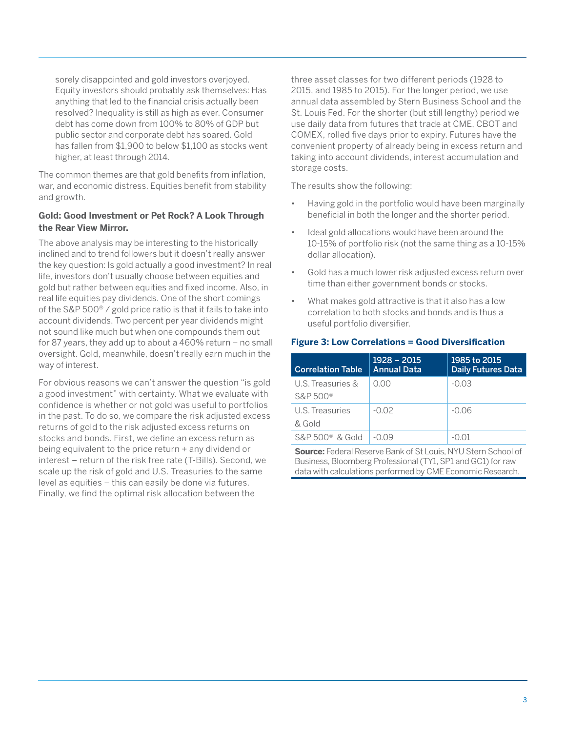sorely disappointed and gold investors overjoyed. Equity investors should probably ask themselves: Has anything that led to the financial crisis actually been resolved? Inequality is still as high as ever. Consumer debt has come down from 100% to 80% of GDP but public sector and corporate debt has soared. Gold has fallen from \$1,900 to below \$1,100 as stocks went higher, at least through 2014.

The common themes are that gold benefits from inflation, war, and economic distress. Equities benefit from stability and growth.

### **Gold: Good Investment or Pet Rock? A Look Through the Rear View Mirror.**

The above analysis may be interesting to the historically inclined and to trend followers but it doesn't really answer the key question: Is gold actually a good investment? In real life, investors don't usually choose between equities and gold but rather between equities and fixed income. Also, in real life equities pay dividends. One of the short comings of the S&P 500® / gold price ratio is that it fails to take into account dividends. Two percent per year dividends might not sound like much but when one compounds them out for 87 years, they add up to about a 460% return – no small oversight. Gold, meanwhile, doesn't really earn much in the way of interest.

For obvious reasons we can't answer the question "is gold a good investment" with certainty. What we evaluate with confidence is whether or not gold was useful to portfolios in the past. To do so, we compare the risk adjusted excess returns of gold to the risk adjusted excess returns on stocks and bonds. First, we define an excess return as being equivalent to the price return + any dividend or interest – return of the risk free rate (T-Bills). Second, we scale up the risk of gold and U.S. Treasuries to the same level as equities – this can easily be done via futures. Finally, we find the optimal risk allocation between the

three asset classes for two different periods (1928 to 2015, and 1985 to 2015). For the longer period, we use annual data assembled by Stern Business School and the St. Louis Fed. For the shorter (but still lengthy) period we use daily data from futures that trade at CME, CBOT and COMEX, rolled five days prior to expiry. Futures have the convenient property of already being in excess return and taking into account dividends, interest accumulation and storage costs.

The results show the following:

- Having gold in the portfolio would have been marginally beneficial in both the longer and the shorter period.
- Ideal gold allocations would have been around the 10-15% of portfolio risk (not the same thing as a 10-15% dollar allocation).
- Gold has a much lower risk adjusted excess return over time than either government bonds or stocks.
- What makes gold attractive is that it also has a low correlation to both stocks and bonds and is thus a useful portfolio diversifier.

### **Figure 3: Low Correlations = Good Diversification**

| <b>Correlation Table</b> | $1928 - 2015$<br><b>Annual Data</b> | 1985 to 2015<br><b>Daily Futures Data</b> |
|--------------------------|-------------------------------------|-------------------------------------------|
| U.S. Treasuries &        | 0.00                                | $-0.03$                                   |
| S&P 500 <sup>®</sup>     |                                     |                                           |
| U.S. Treasuries          | $-0.02$                             | $-0.06$                                   |
| & Gold                   |                                     |                                           |
| $S\&P500^{\circ}$ & Gold | $-0.09$                             | -0.01                                     |

**Source:** Federal Reserve Bank of St Louis, NYU Stern School of Business, Bloomberg Professional (TY1, SP1 and GC1) for raw data with calculations performed by CME Economic Research.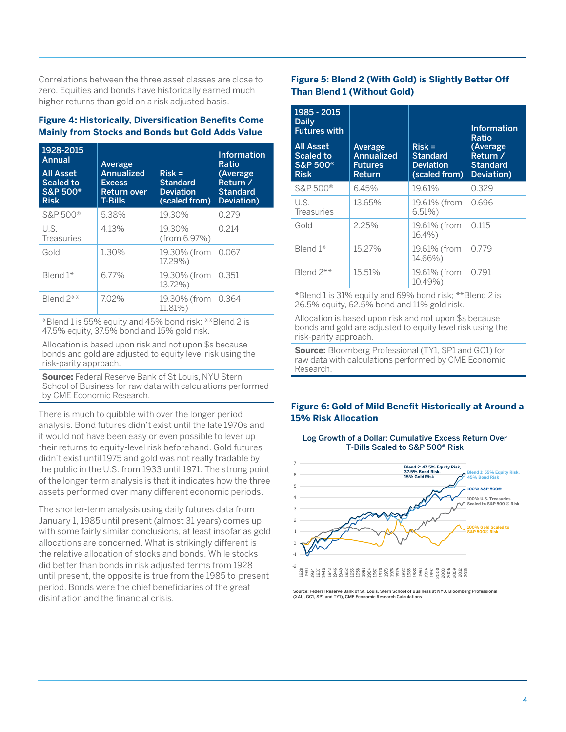Correlations between the three asset classes are close to zero. Equities and bonds have historically earned much higher returns than gold on a risk adjusted basis.

### **Figure 4: Historically, Diversification Benefits Come Mainly from Stocks and Bonds but Gold Adds Value**

| 1928-2015<br>Annual<br><b>All Asset</b><br><b>Scaled to</b><br><b>S&amp;P 500®</b><br><b>Risk</b> | Average<br><b>Annualized</b><br><b>Excess</b><br><b>Return over</b><br><b>T-Bills</b> | $Risk =$<br><b>Standard</b><br><b>Deviation</b><br>(scaled from) | Information<br>Ratio<br>(Average<br>Return /<br><b>Standard</b><br>Deviation) |
|---------------------------------------------------------------------------------------------------|---------------------------------------------------------------------------------------|------------------------------------------------------------------|-------------------------------------------------------------------------------|
| S&P 500 <sup>®</sup>                                                                              | 5.38%                                                                                 | 19.30%                                                           | 0.279                                                                         |
| U.S.<br><b>Treasuries</b>                                                                         | 4.13%                                                                                 | 19.30%<br>(from 6.97%)                                           | 0.214                                                                         |
| Gold                                                                                              | 1.30%                                                                                 | 19.30% (from<br>17.29%)                                          | 0.067                                                                         |
| Blend $1*$                                                                                        | 6.77%                                                                                 | 19.30% (from<br>13.72%)                                          | 0.351                                                                         |
| Blend 2**                                                                                         | 7.02%                                                                                 | 19.30% (from<br>11.81%)                                          | 0.364                                                                         |

\*Blend 1 is 55% equity and 45% bond risk; \*\*Blend 2 is 47.5% equity, 37.5% bond and 15% gold risk.

Allocation is based upon risk and not upon \$s because bonds and gold are adjusted to equity level risk using the risk-parity approach.

**Source:** Federal Reserve Bank of St Louis, NYU Stern School of Business for raw data with calculations performed by CME Economic Research.

There is much to quibble with over the longer period analysis. Bond futures didn't exist until the late 1970s and it would not have been easy or even possible to lever up their returns to equity-level risk beforehand. Gold futures didn't exist until 1975 and gold was not really tradable by the public in the U.S. from 1933 until 1971. The strong point of the longer-term analysis is that it indicates how the three assets performed over many different economic periods.

The shorter-term analysis using daily futures data from January 1, 1985 until present (almost 31 years) comes up with some fairly similar conclusions, at least insofar as gold allocations are concerned. What is strikingly different is the relative allocation of stocks and bonds. While stocks did better than bonds in risk adjusted terms from 1928 until present, the opposite is true from the 1985 to-present period. Bonds were the chief beneficiaries of the great disinflation and the financial crisis.

# **Figure 5: Blend 2 (With Gold) is Slightly Better Off Than Blend 1 (Without Gold)**

| 1985 - 2015<br>Daily<br><b>Futures with</b><br>All Asset<br><b>Scaled to</b><br><b>S&amp;P 500®</b><br><b>Risk</b> | Average<br>Annualized<br><b>Futures</b><br>Return | $Risk =$<br><b>Standard</b><br><b>Deviation</b><br>(scaled from) | <b>Information</b><br>Ratio<br>(Average<br>Return /<br><b>Standard</b><br>Deviation) |
|--------------------------------------------------------------------------------------------------------------------|---------------------------------------------------|------------------------------------------------------------------|--------------------------------------------------------------------------------------|
| S&P 500 <sup>®</sup>                                                                                               | 6.45%                                             | 19.61%                                                           | 0.329                                                                                |
| U.S.<br><b>Treasuries</b>                                                                                          | 13.65%                                            | 19.61% (from<br>6.51%                                            | 0.696                                                                                |
| Gold                                                                                                               | 2.25%                                             | 19.61% (from<br>$16.4\%$                                         | 0.115                                                                                |
| Blend 1*                                                                                                           | 15.27%                                            | 19.61% (from<br>14.66%)                                          | 0.779                                                                                |
| Blend 2**                                                                                                          | 15.51%                                            | 19.61% (from<br>10.49%)                                          | 0.791                                                                                |

\*Blend 1 is 31% equity and 69% bond risk; \*\*Blend 2 is 26.5% equity, 62.5% bond and 11% gold risk.

Allocation is based upon risk and not upon \$s because bonds and gold are adjusted to equity level risk using the risk-parity approach.

**Source:** Bloomberg Professional (TY1, SP1 and GC1) for raw data with calculations performed by CME Economic Research.

## **Figure 6: Gold of Mild Benefit Historically at Around a 15% Risk Allocation**

Log Growth of a Dollar: Cumulative Excess Return Over T-Bills Scaled to S&P 500® Risk



Source: Federal Reserve Bank of St. Louis, Stern School of Business at NYU, Bloomberg Professional (XAU, GC1, SP1 and TY1), CME Economic Research Calculations